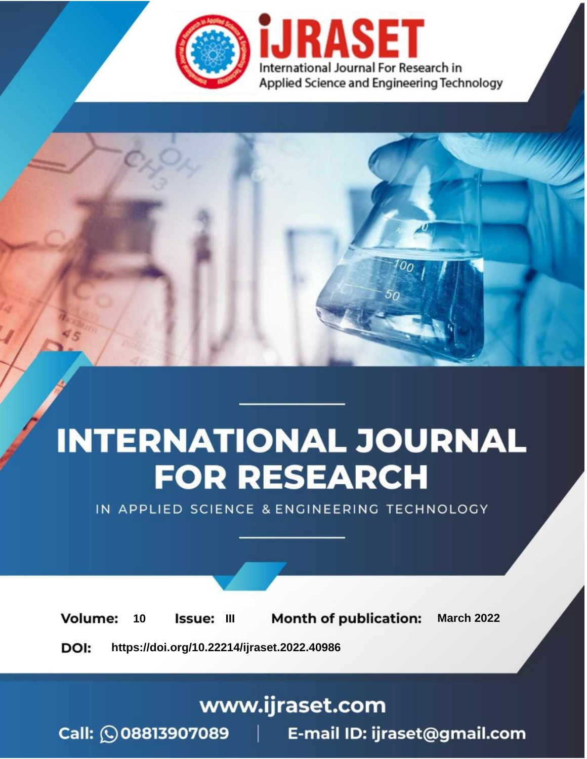

# **INTERNATIONAL JOURNAL FOR RESEARCH**

IN APPLIED SCIENCE & ENGINEERING TECHNOLOGY

10 **Issue: III Month of publication:** March 2022 **Volume:** 

**https://doi.org/10.22214/ijraset.2022.40986**DOI:

www.ijraset.com

Call: 008813907089 | E-mail ID: ijraset@gmail.com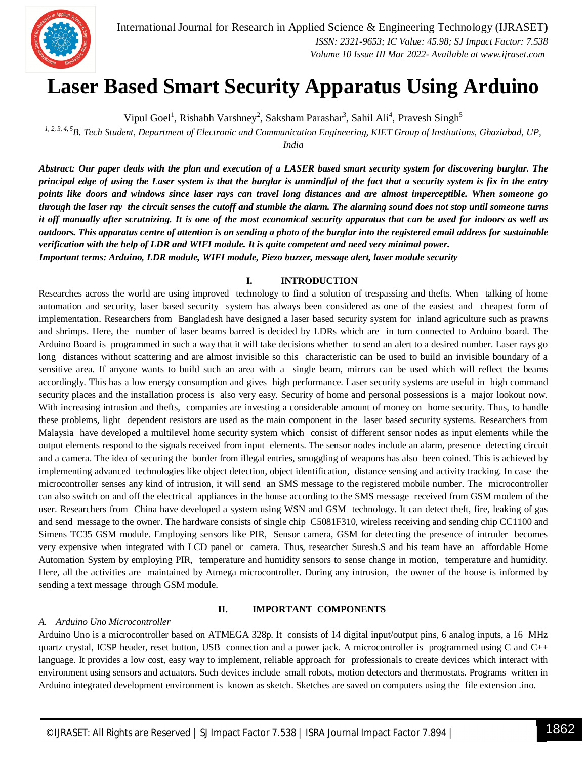

### **Laser Based Smart Security Apparatus Using Arduino**

Vipul Goel<sup>1</sup>, Rishabh Varshney<sup>2</sup>, Saksham Parashar<sup>3</sup>, Sahil Ali<sup>4</sup>, Pravesh Singh<sup>5</sup>

*1, 2, 3, 4, 5B. Tech Student, Department of Electronic and Communication Engineering, KIET Group of Institutions, Ghaziabad, UP,*

*India*

*Abstract: Our paper deals with the plan and execution of a LASER based smart security system for discovering burglar. The principal edge of using the Laser system is that the burglar is unmindful of the fact that a security system is fix in the entry points like doors and windows since laser rays can travel long distances and are almost imperceptible. When someone go through the laser ray the circuit senses the cutoff and stumble the alarm. The alarming sound does not stop until someone turns it off manually after scrutnizing. It is one of the most economical security apparatus that can be used for indoors as well as outdoors. This apparatus centre of attention is on sending a photo of the burglar into the registered email address for sustainable verification with the help of LDR and WIFI module. It is quite competent and need very minimal power. Important terms: Arduino, LDR module, WIFI module, Piezo buzzer, message alert, laser module security*

#### **I. INTRODUCTION**

Researches across the world are using improved technology to find a solution of trespassing and thefts. When talking of home automation and security, laser based security system has always been considered as one of the easiest and cheapest form of implementation. Researchers from Bangladesh have designed a laser based security system for inland agriculture such as prawns and shrimps. Here, the number of laser beams barred is decided by LDRs which are in turn connected to Arduino board. The Arduino Board is programmed in such a way that it will take decisions whether to send an alert to a desired number. Laser rays go long distances without scattering and are almost invisible so this characteristic can be used to build an invisible boundary of a sensitive area. If anyone wants to build such an area with a single beam, mirrors can be used which will reflect the beams accordingly. This has a low energy consumption and gives high performance. Laser security systems are useful in high command security places and the installation process is also very easy. Security of home and personal possessions is a major lookout now. With increasing intrusion and thefts, companies are investing a considerable amount of money on home security. Thus, to handle these problems, light dependent resistors are used as the main component in the laser based security systems. Researchers from Malaysia have developed a multilevel home security system which consist of different sensor nodes as input elements while the output elements respond to the signals received from input elements. The sensor nodes include an alarm, presence detecting circuit and a camera. The idea of securing the border from illegal entries, smuggling of weapons has also been coined. This is achieved by implementing advanced technologies like object detection, object identification, distance sensing and activity tracking. In case the microcontroller senses any kind of intrusion, it will send an SMS message to the registered mobile number. The microcontroller can also switch on and off the electrical appliances in the house according to the SMS message received from GSM modem of the user. Researchers from China have developed a system using WSN and GSM technology. It can detect theft, fire, leaking of gas and send message to the owner. The hardware consists of single chip C5081F310, wireless receiving and sending chip CC1100 and Simens TC35 GSM module. Employing sensors like PIR, Sensor camera, GSM for detecting the presence of intruder becomes very expensive when integrated with LCD panel or camera. Thus, researcher Suresh.S and his team have an affordable Home Automation System by employing PIR, temperature and humidity sensors to sense change in motion, temperature and humidity. Here, all the activities are maintained by Atmega microcontroller. During any intrusion, the owner of the house is informed by sending a text message through GSM module.

#### *A. Arduino Uno Microcontroller*

#### **II. IMPORTANT COMPONENTS**

Arduino Uno is a microcontroller based on ATMEGA 328p. It consists of 14 digital input/output pins, 6 analog inputs, a 16 MHz quartz crystal, ICSP header, reset button, USB connection and a power jack. A microcontroller is programmed using C and C++ language. It provides a low cost, easy way to implement, reliable approach for professionals to create devices which interact with environment using sensors and actuators. Such devices include small robots, motion detectors and thermostats. Programs written in Arduino integrated development environment is known as sketch. Sketches are saved on computers using the file extension .ino.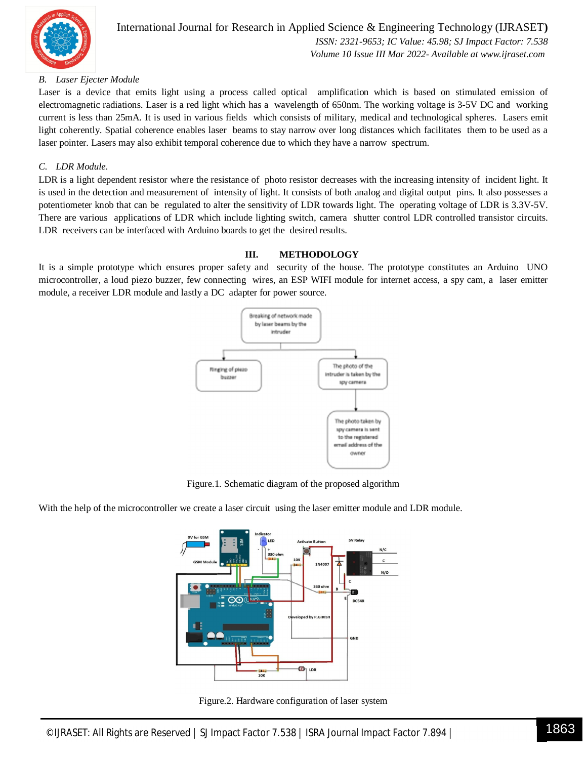

#### *B. Laser Ejecter Module*

Laser is a device that emits light using a process called optical amplification which is based on stimulated emission of electromagnetic radiations. Laser is a red light which has a wavelength of 650nm. The working voltage is 3-5V DC and working current is less than 25mA. It is used in various fields which consists of military, medical and technological spheres. Lasers emit light coherently. Spatial coherence enables laser beams to stay narrow over long distances which facilitates them to be used as a laser pointer. Lasers may also exhibit temporal coherence due to which they have a narrow spectrum.

#### *C. LDR Module.*

LDR is a light dependent resistor where the resistance of photo resistor decreases with the increasing intensity of incident light. It is used in the detection and measurement of intensity of light. It consists of both analog and digital output pins. It also possesses a potentiometer knob that can be regulated to alter the sensitivity of LDR towards light. The operating voltage of LDR is 3.3V-5V. There are various applications of LDR which include lighting switch, camera shutter control LDR controlled transistor circuits. LDR receivers can be interfaced with Arduino boards to get the desired results.

#### **III. METHODOLOGY**

It is a simple prototype which ensures proper safety and security of the house. The prototype constitutes an Arduino UNO microcontroller, a loud piezo buzzer, few connecting wires, an ESP WIFI module for internet access, a spy cam, a laser emitter module, a receiver LDR module and lastly a DC adapter for power source.



Figure.1. Schematic diagram of the proposed algorithm

With the help of the microcontroller we create a laser circuit using the laser emitter module and LDR module.



Figure.2. Hardware configuration of laser system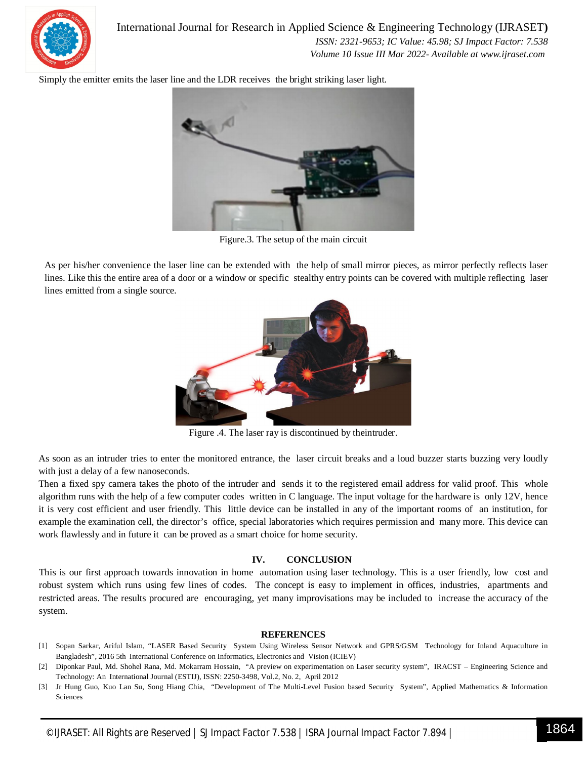

Simply the emitter emits the laser line and the LDR receives the bright striking laser light.



Figure.3. The setup of the main circuit

As per his/her convenience the laser line can be extended with the help of small mirror pieces, as mirror perfectly reflects laser lines. Like this the entire area of a door or a window or specific stealthy entry points can be covered with multiple reflecting laser lines emitted from a single source.



Figure .4. The laser ray is discontinued by theintruder.

As soon as an intruder tries to enter the monitored entrance, the laser circuit breaks and a loud buzzer starts buzzing very loudly with just a delay of a few nanoseconds.

Then a fixed spy camera takes the photo of the intruder and sends it to the registered email address for valid proof. This whole algorithm runs with the help of a few computer codes written in C language. The input voltage for the hardware is only 12V, hence it is very cost efficient and user friendly. This little device can be installed in any of the important rooms of an institution, for example the examination cell, the director's office, special laboratories which requires permission and many more. This device can work flawlessly and in future it can be proved as a smart choice for home security.

#### **IV. CONCLUSION**

This is our first approach towards innovation in home automation using laser technology. This is a user friendly, low cost and robust system which runs using few lines of codes. The concept is easy to implement in offices, industries, apartments and restricted areas. The results procured are encouraging, yet many improvisations may be included to increase the accuracy of the system.

#### **REFERENCES**

- [1] Sopan Sarkar, Ariful Islam, "LASER Based Security System Using Wireless Sensor Network and GPRS/GSM Technology for Inland Aquaculture in Bangladesh", 2016 5th International Conference on Informatics, Electronics and Vision (ICIEV)
- [2] Diponkar Paul, Md. Shohel Rana, Md. Mokarram Hossain, "A preview on experimentation on Laser security system", IRACST Engineering Science and Technology: An International Journal (ESTIJ), ISSN: 2250-3498, Vol.2, No. 2, April 2012
- [3] Jr Hung Guo, Kuo Lan Su, Song Hiang Chia, "Development of The Multi-Level Fusion based Security System", Applied Mathematics & Information Sciences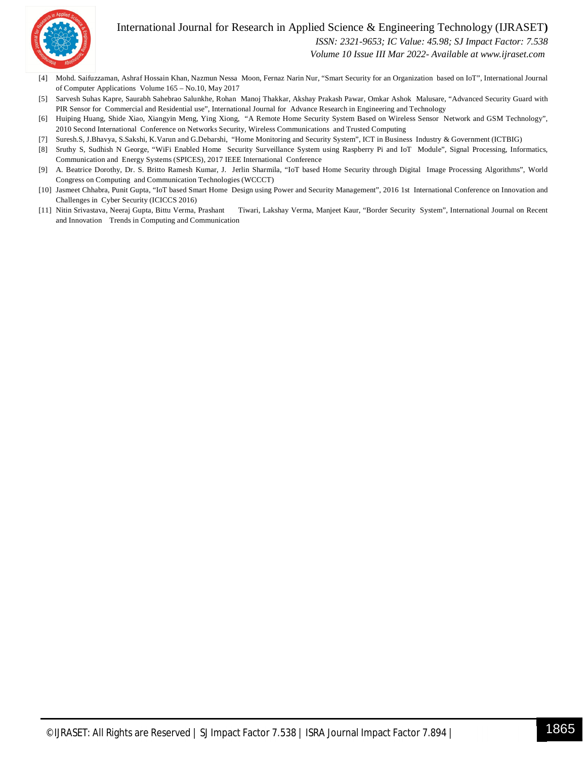#### International Journal for Research in Applied Science & Engineering Technology (IJRASET**)**



 *ISSN: 2321-9653; IC Value: 45.98; SJ Impact Factor: 7.538*

 *Volume 10 Issue III Mar 2022- Available at www.ijraset.com*

- [4] Mohd. Saifuzzaman, Ashraf Hossain Khan, Nazmun Nessa Moon, Fernaz Narin Nur, "Smart Security for an Organization based on IoT", International Journal of Computer Applications Volume 165 – No.10, May 2017
- [5] Sarvesh Suhas Kapre, Saurabh Sahebrao Salunkhe, Rohan Manoj Thakkar, Akshay Prakash Pawar, Omkar Ashok Malusare, "Advanced Security Guard with PIR Sensor for Commercial and Residential use", International Journal for Advance Research in Engineering and Technology
- [6] Huiping Huang, Shide Xiao, Xiangyin Meng, Ying Xiong, "A Remote Home Security System Based on Wireless Sensor Network and GSM Technology", 2010 Second International Conference on Networks Security, Wireless Communications and Trusted Computing
- [7] Suresh.S, J.Bhavya, S.Sakshi, K.Varun and G.Debarshi, "Home Monitoring and Security System", ICT in Business Industry & Government (ICTBIG)
- [8] Sruthy S, Sudhish N George, "WiFi Enabled Home Security Surveillance System using Raspberry Pi and IoT Module", Signal Processing, Informatics, Communication and Energy Systems (SPICES), 2017 IEEE International Conference
- [9] A. Beatrice Dorothy, Dr. S. Britto Ramesh Kumar, J. Jerlin Sharmila, "IoT based Home Security through Digital Image Processing Algorithms", World Congress on Computing and Communication Technologies (WCCCT)
- [10] Jasmeet Chhabra, Punit Gupta, "IoT based Smart Home Design using Power and Security Management", 2016 1st International Conference on Innovation and Challenges in Cyber Security (ICICCS 2016)
- [11] Nitin Srivastava, Neeraj Gupta, Bittu Verma, Prashant Tiwari, Lakshay Verma, Manjeet Kaur, "Border Security System", International Journal on Recent and Innovation Trends in Computing and Communication